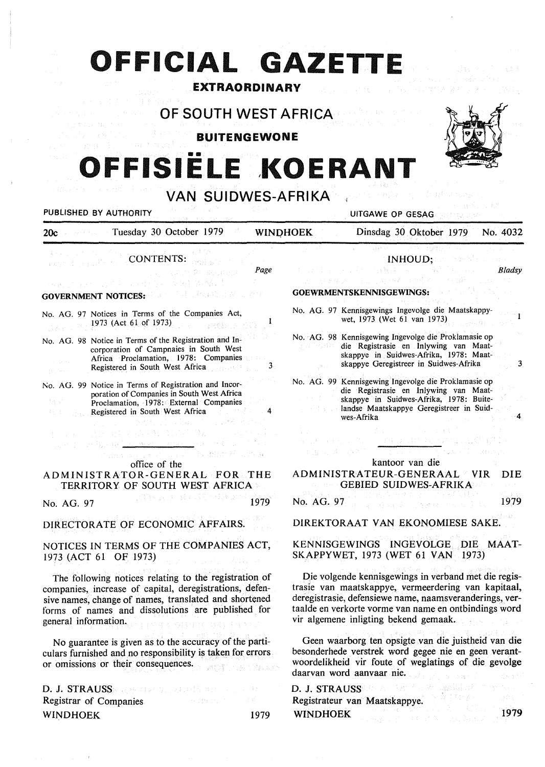# **OFFICIAL GAZETTE**

### **EXTRAORDINARY**

**OF SOUTH WEST AFRICA** 

**BUITENGEWONE** 

# **OFFISIELE ,KOERANT**

**VAN SUIDWES-AFRIKA** 



## PUBLISHED BY AUTHORITY **EXAMPLE 2018 CONTROLLER IN THE UITGAWE OP GESAG**

**GOVERNMENT NOTICES:** 

 $1973$  (Act 61 of 1973)

20c Tuesday 30 October 1979 WINDHOEK Dinsdag 30 Oktober 1979 No. 4032

CONTENTS:

No. AG. 97 Notices in Terms of the Companies Act,

No. AG. 98 Notice in Terms of the Registration and In-

No. AG. 99 Notice in Terms of Registration and Incor-

新闻 / 法法律的 / 《注入》 (1) 》

学程式箱

Registered in South West Africa

corporation of Campnaies in South West Africa Proclamation, 1978: Companies Registered in South West Africa

**SE DANGER** 

.<br>Le rendre de Millian de l'E

poration of Companies in South West Africa Proclamation, 1978: External Companies

3

 $\mathbf{1}$ 

4

Page

INHOUD;

*Bladsy* 

3

 $\mathbf{1}$ 

4

#### **GOEWRMENTSKENNISGEWINGS:**

No. AG. 97 Kennisgewings Ingevolge die Maatskappywet, 1973 (Wet 61 van 1973)

No. AG. 98 Kennisgewing Ingevolge die Proklamasie op die Registrasie en Inlywing van Maatskappye in Suidwes-Afrika, 1978: Maatskappye Geregistreer in Suidwes-Afrika

No. AG. 99 Kennisgewing Ingevolge die Proklamasie op die Registrasie en Inlywing van Maatskappye in Suidwes-Afrika, 1978: Buitelandse Maatskappye Geregistreer in Suidwes-Afrika

#### office of the

ADMINISTRATOR-GENERAL FOR THE TERRITORY OF SOUTH WEST AFRICA

No. AG. 97 **1979** 

#### DIRECTORATE OF ECONOMIC AFFAIRS.

NOTICES IN TERMS OF THE **COMPANIES** ACT, 1973 (ACT 61 OF 1973)

The following notices relating to the registration of companies, increase of capital, deregistrations, defensive names, change of names, translated and shortened forms of names and dissolutions are published for general information.

No guarantee is given as to the accuracy of the particulars furnished and no responsibility is taken for errors or omissions or their consequences.

D. J. STRAUSS (1998) (1998), 1999 (1998)  $\label{eq:1} \mathcal{O}(\mathcal{O}(\log n)) \leq \mathcal{O}(\log \frac{2\log n}{\log n}) \leq \mathcal{O}(\log n)$ Registrar of Companies WINDHOEK 1979 kantoor van die

ADMINISTRATEUR-GENERAAL VIR DIE GEBIED SUIDWES-AFRIKA

No. AG. 97 1979

DIREKTORAAT VAN EKONOMIESE SAKE.

#### KENNISGEWINGS INGEVOLGE DIE MAAT-SKAPPYWET, 1973 (WET 61 VAN 1973)

Die volgende kennisgewings in verband met die registrasie van maatskappye, vermeerdering van kapitaal, deregistrasie, defensiewe name, naamsveranderings, vertaalde en verkorte vorme van name en ontbindings word vir algemene inligting bekend gemaak.

Geen waarborg ten opsigte van die juistheid van die besonderhede verstrek word gegee nie en geen verantwoordelikheid vir foute of weglatings of die gevolge daarvan word aanvaar nie.

D. J. STRAUSS CAR PRESS, W Registrateur van Maatskappye. WINDHOEK 1979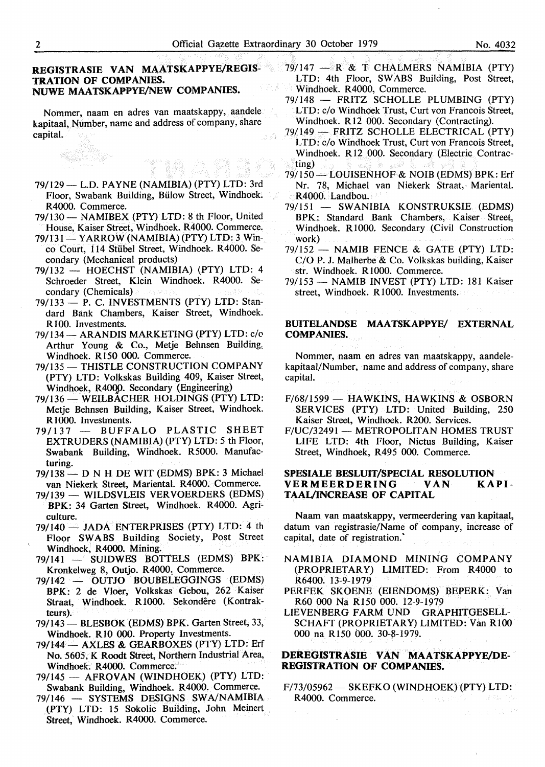-194

#### **REGISTRASIE VAN MAATSKAPPYE/REGIS-TRATION OF COMPANIES. NUWE MAATSKAPPYE/NEW COMPANIES.**

Nommer, naam en adres van maatskappy, aandele kapitaal, Number, name and address of company, share capital.

en ka

- 79/129- L.D. PAYNE (NAMIBIA) (PTY) LTD: 3rd Floor, Swabank Building, Biilow Street, Windhoek. R4000. Commerce.
- 79/130 NAMIBEX (PTY) LTD: 8 th Floor, United House, Kaiser Street, Windhoek. R4000. Commerce.
- 79/131- YARROW (NAMIBIA) (PTY) LTD: 3 Winco Court, 114 Stiibel Street, Windhoek. R4000. Se-
- condary (Mechanical products) 79/132 - HOECHST (NAMIBIA) (PTY) LTD: 4
- Schroeder Street, Klein Windhoek. R4000. Secondary (Chemicals) .
- 79/133 P. C. INVESTMENTS (PTY) LTD: Standard Bank Chambers, Kaiser Street, Windhoek. R 100. Investments.
- 79/134-ARANDIS MARKETING (PTY) LTD: c/o Arthur Young & Co., Metje Behnsen Building, Windhoek. R150 000. Commerce.
- 79/135 THISTLE CONSTRUCTION COMPANY (PTY) LTD: Volkskas Building 409, Kaiser Street, Windhoek, R4000. Secondary (Engineering)
- 79/136- WEILBACHER HOLDINGS (PTY) LTD: Metje Behnsen Building, Kaiser Street, Windhoek. R 1000. Investments.
- 79/137 BUFFALO PLASTIC SHEET EXTRUDERS **(NAMIBIA)** (PTY) LTD: 5 th Floor, Swabank Building, Windhoek. R5000. Manufacturing.
- 79/138- D NH DE WIT (EDMS) BPK: 3 Michael van Niekerk Street, Mariental. R4000. Commerce.
- 79/139 WILDSVLEIS VERVOERDERS (EDMS) **BPK:** 34 Garten Street, Windhoek. R4000. Agriculture.
- 79/140 JADA ENTERPRISES (PTY) LTD: 4 th Floor SWABS Building Society, Post Street Windhoek, R4000. Mining.
- 79/141 SUIDWES BOTTELS (EDMS) BPK: Kronkelweg 8, Outjo. R4000. Commerce.
- 79/142 OUTJO BOUBELEGGINGS (EDMS) BPK: 2 de Vloer, Volkskas Gebou, 262 Kaiser Straat, Windhoek. R1000. Sekondêre (Kontrakteurs).
- 79/143- BLESBOK (EDMS) BPK. Garten Street, 33, Windhoek. RIO 000. Property Investments.
- 79/144- AXLES & GEARBOXES (PTY) LTD: Erf No. 5605, K Roodt Street, Northern Industrial Area, Windhoek. R4000. Commerce.
- 79/145 AFROVAN (WINDHOEK) (PTY) LTD: Swabank Building, Windhoek. R4000. Commerce.
- 79/146 SYSTEMS DESIGNS SWA/NAMIBIA (PTY) LTD: 15 Sokolic Building, John Meinert Street, Windhoek. R4000. Commerce.
- $79/147$  R & T CHALMERS NAMIBIA (PTY) LTD: 4th Floor, SWABS Building, Post Street, Windhoek. R4000, Commerce.
- 79/ 148 FRITZ SCHOLLE PLUMBING (PTY) LTD: c/o Windhoek Trust, Curt von Francois Street, Windhoek. Rl2 000. Secondary (Contracting).
- 79/ 149 FRITZ SCHOLLE ELECTRICAL (PTY) LTD: c/o Windhoek Trust, Curt von Francois Street, Windhoek. Rl2 000. Secondary (Electric Contracting)
- 79/150- LOUISENHOF & NOIB (EDMS) BPK: Erf Nr. 78, Michael van Niekerk Straat, Mariental. R4000. Landbou.
- 79/151 SWANIBIA KONSTRUKSIE (EDMS) BPK: Standard Bank Chambers, Kaiser Street, Windhoek. R1000. Secondary (Civil Construction work)
- 79/152 **NAMIB** FENCE & GATE (PTY) LTD: C/O P. J. Malherbe & Co. Volkskas building, Kaiser str. Windhoek. RlOOO. Commerce.
- 79/153 NAMIB INVEST (PTY) LTD: 181 Kaiser street, Windhoek. R 1000. Investments.

#### **BUITELANDSE MAATSKAPPYE/ EXTERNAL COMPANIES.**

Nommer, naam en adres van maatskappy, aandelekapitaal/Number, name and address of company, share capital.

- F/68/1599 **HAWKINS, HAWKINS** & **OSBORN**  SER VICES (PTY) LTD: United Building, 250 Kaiser Street, Windhoek. R200. Services.
- F/UC/32491 METROPOLITAN HOMES TRUST LIFE LTD: 4th Floor, Nictus Building, Kaiser Street, Windhoek, R495 000. Commerce.

#### **SPESIALE BESLUIT/SPECIAL RESOLUTION<br>
VERMEERDERING VAN KAPI-VERMEERDERING VAN TAAl/INCREASE OF CAPITAL**

Naam van maatskappy, vermeerdering van kapitaal, datum van registrasie/Name of company, increase of capital, date of registration.

- NAMIBIA DIAMOND MINING COMPANY (PROPRIETARY) LIMITED: From R4000 to R6400. 13-9-1979
- PERFEK SKOENE (EIENDOMS) BEPERK: Van R60 000 Na R.150 000. 12-9-1979
- LIEVENBERG FARM UND GRAPHITGESELL-SCHAFT (PROPRIETARY) LIMITED: Van RlOO 000 na Rl50 000. 30-8-1979.

**DEREGISTRASIE VAN MAATSKAPPYE/DE-**REGISTRATION OF COMPANIES.

F/73/05962 - SKEFKO (WINDHOEK) (PTY) LTD: R4000. Commerce.  $\alpha \in \mathbb{C}$ 발표되고 아

ja provinse a se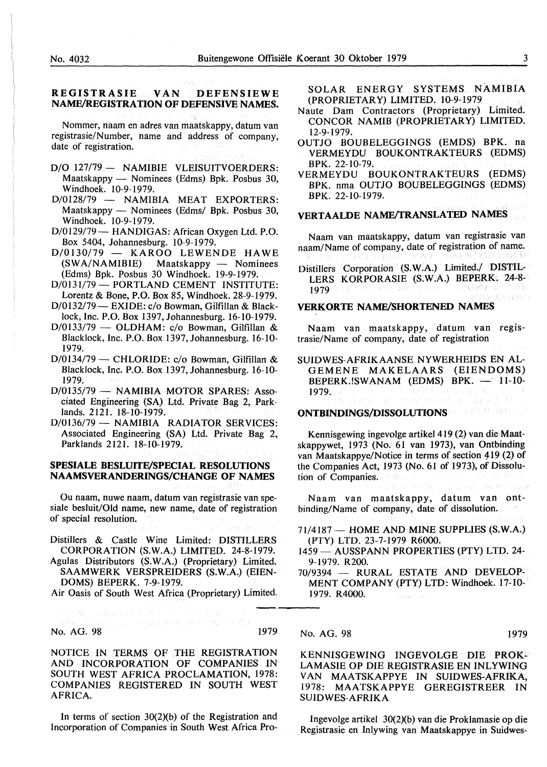#### **REGISTRASIE VAN DEFENSIEWE NAME/REGISTRATION OF DEFENSIVE NAMES.**

Nommer, naam en adres van maatskappy, datum van registrasie/Number, name and address of company, date of registration.

- D/O 127/79 NAMIBIE VLEISUITVOERDERS: Maatskappy - Nominees (Edms) Bpk. Posbus 30, Windhoek. 10-9-1979.
- D/0128/79 NAMIBIA MEAT EXPORTERS: Maatskappy - Nominees (Edms/ Bpk. Posbus 30, Windhoek. 10-9-1979.
- D/0129/79 HANDIGAS: African Oxygen Ltd. P.O. Box 5404, Johannesburg. 10-9-1979.
- $D/0130/79$  KAROO LEWENDE HAWE<br>(SWA/NAMIBIE) Maatskappy Nominees  $\n *Maatskappy*\n *Waanines*$ (Edms) Bpk. Posbus 30 Windhoek. 19-9-1979.
- D/0131/79 PORTLAND CEMENT INSTITUTE: Lorentz & Bone, P.O. Box 85, Windhoek. 28-9-1979.
- D/0132/79- EXIDE: c/o Bowman, Gilfillan & Blacklock, Inc. P.O. Box 1397, Johannesburg. 16-10-1979.
- $D/0133/79$  OLDHAM: c/o Bowman, Gilfillan & Blacklock, Inc. P.O. Box 1397,Johannesburg. 16-10- 1979.
- D/0134/79 CHLORIDE: c/o Bowman, Gilfillan & Blacklock, Inc. P.O. Box 1397, Johannesburg. 16-10- 1979.
- D/0135/79 NAMIBIA MOTOR SPARES: Associated Engineering (SA) Ltd. Private Bag 2, Parklands. 2121. 18-10-1979.
- D/0136/79 NAMIBIA RADIATOR SERVICES: Associated Engineering (SA) Ltd. Private Bag 2, Parklands 2121. 18-10-1979.

#### **SPESIALE BESLUITE/SPECIAL RESOLUTIONS NAAMSVERANDERINGS/CHANGE OF NAMES**

Ou naam, nuwe naam, datum van registrasie van spesiale besluit/Old name, new name, date of registration of special resolution.

Distillers & Castle Wine Limited: DISTILLERS CORPORATION (S.W.A.) LIMITED. 24-8-1979.

Agulas Distributors (S.W.A.) (Proprietary) Limited. SAAMWERK VERSPREIDERS (S.W.A.) (EIEN-DOMS) BEPERK. 7-9-1979.

Air Oasis of South West Africa (Proprietary) Limited.

 $\mathcal{F}^{\ast}(\mathcal{K}) = \mathcal{F}^{\ast}(\mathcal{K}_{\mathcal{G}}(\mathbb{Z}/2),\mathbb{Z}/2, \mathbb{Z}/2, \mathbb{Z}/2)$ 

No. AG. 98 1979 - Andrew March 2019 - Agency 1979

NOTICE IN TERMS OF THE REGISTRATION AND INCORPORATION OF COMPANIES IN SOUTH WEST AFRICA PROCLAMATION, 1978: COMPANIES REGISTERED IN SOUTH WEST AFRICA.

In terms of section  $30(2)(b)$  of the Registration and Incorporation of Companies in South West Africa ProSOLAR ENERGY SYSTEMS NAMIBIA (PROPRIETARY) LIMITED. 10-9-1979

- Naute Dam Contractors (Proprietary) Limited. CONCOR NAMIB (PROPRIETARY) LIMITED. 12-9-1979.
- OUTJO BOUBELEGGINGS (EMDS) BPK. na VERMEYDU BOUKONTRAKTEURS (EDMS) BPK. 22-10-79.
- VERMEYDU BOUKONTRAKTEURS (EDMS) BPK. nma OUTJO BOUBELEGGINGS (EDMS) BPK. 22-10-1979.

#### **VERTAALDE NAME/TRANSLATED NAMES**

Naam van maatskappy, datum van registrasie van naam/Name of company, date of registration of name.

Distillers Corporation (S. W.A.) Limited./ DISTIL-LERS KORPORASIE (S.W.A.) BEPERK. 24-8-再制 刺露落玉染 五球 白色绿绿植物 舌 1979 ...

### **VERKORTE NAME/SHORTENED NAMES**

Naam van maatskappy, datum van registrasie/Name of company, date of registration

SUIDWES-AFRIKAANSE NYWERHEIDS EN AL-GEMENE MAKELAARS (EIENDOMS) BEPERK.!SWANAM (EDMS) BPK. - 11-10-1979. (基本など)スタッチ (12)の方 (4)

### **ONTBINDINGS/DISSOLUTIONS** *NECESSION***ER <b>EXECUTIONS**

Kennisgewing ingevolge artikel 419 (2) van die Maatskappywet, 1973 (No. 61 van 1973), van Ontbinding van Maatskappye/Notice in terms of section 419 (2) of the Companies Act, 1973 (No. 61 of 1973), of Dissolution of Companies.

Naam van maatskappy, datum van ontbinding/Name of company, date of dissolution.

- 71/4187 HOME AND MINE SUPPLIES (S.W.A.) (PTY) LTD. 23-7-1979 R6000.
- 1459 AUSSPANN PROPERTIES (PTY) LTD. 24-9-1979. R200.
- 70/9394 RURAL ESTATE AND DEVELOP-MENT COMPANY (PTY) LTD: Windhoek. 17-10- 1979. R4000.

No. AG. 98 1979

KENNISGEWING INGEVOLGE DIE PROK-LAMASIE OP DIE REGISTRASIE EN INLYWING VAN MAATSKAPPYE IN SUIDWES-AFRIKA, 1978: MAA TSKAPPYE GEREGISTREER IN SUIDWES-AFRIKA

Ingevolge artikel 30(2)(b) van die Proklamasie op die Registrasie en Inlywing van Maatskappye in Suidwes-